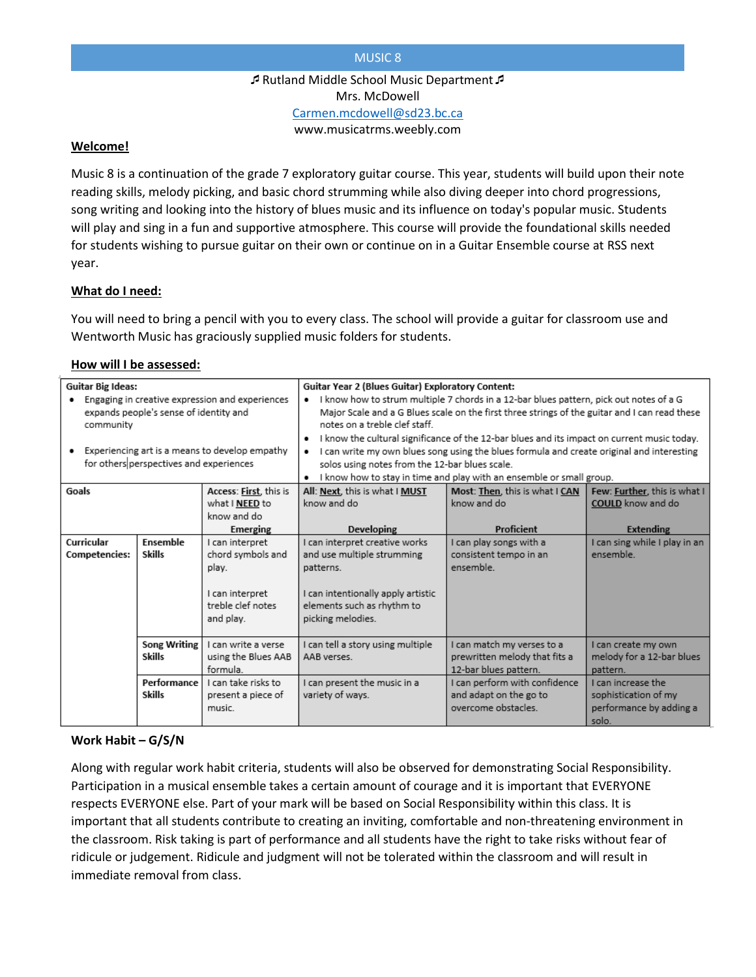## MUSIC 8

Rutland Middle School Music Department Mrs. McDowell [Carmen.mcdowell@sd23.bc.ca](mailto:Carmen.mcdowell@sd23.bc.ca) www.musicatrms.weebly.com

## **Welcome!**

Music 8 is a continuation of the grade 7 exploratory guitar course. This year, students will build upon their note reading skills, melody picking, and basic chord strumming while also diving deeper into chord progressions, song writing and looking into the history of blues music and its influence on today's popular music. Students will play and sing in a fun and supportive atmosphere. This course will provide the foundational skills needed for students wishing to pursue guitar on their own or continue on in a Guitar Ensemble course at RSS next year.

## **What do I need:**

You will need to bring a pencil with you to every class. The school will provide a guitar for classroom use and Wentworth Music has graciously supplied music folders for students.

## **How will I be assessed:**

| <b>Guitar Big Ideas:</b>                                                                                                                                                                            |                                      |                                                        | Guitar Year 2 (Blues Guitar) Exploratory Content:                                                                                                                                                                                                                                                                                                                                                                                                                                                                                                                             |                                                                                      |                                                                                |
|-----------------------------------------------------------------------------------------------------------------------------------------------------------------------------------------------------|--------------------------------------|--------------------------------------------------------|-------------------------------------------------------------------------------------------------------------------------------------------------------------------------------------------------------------------------------------------------------------------------------------------------------------------------------------------------------------------------------------------------------------------------------------------------------------------------------------------------------------------------------------------------------------------------------|--------------------------------------------------------------------------------------|--------------------------------------------------------------------------------|
| Engaging in creative expression and experiences<br>expands people's sense of identity and<br>community<br>Experiencing art is a means to develop empathy<br>for others perspectives and experiences |                                      |                                                        | I know how to strum multiple 7 chords in a 12-bar blues pattern, pick out notes of a G<br>Major Scale and a G Blues scale on the first three strings of the guitar and I can read these<br>notes on a treble clef staff.<br>I know the cultural significance of the 12-bar blues and its impact on current music today.<br>$\bullet$<br>I can write my own blues song using the blues formula and create original and interesting<br>$\bullet$<br>solos using notes from the 12-bar blues scale.<br>I know how to stay in time and play with an ensemble or small group.<br>٠ |                                                                                      |                                                                                |
| Goals                                                                                                                                                                                               |                                      | Access: First, this is                                 | All: Next, this is what I MUST                                                                                                                                                                                                                                                                                                                                                                                                                                                                                                                                                | Most: Then, this is what I CAN                                                       | Few: Further, this is what I                                                   |
|                                                                                                                                                                                                     |                                      | what I NEED to                                         | know and do                                                                                                                                                                                                                                                                                                                                                                                                                                                                                                                                                                   | know and do                                                                          | COULD know and do                                                              |
|                                                                                                                                                                                                     |                                      | know and do<br>Emerging                                | Developing                                                                                                                                                                                                                                                                                                                                                                                                                                                                                                                                                                    | Proficient                                                                           | Extending                                                                      |
| Curricular                                                                                                                                                                                          | Ensemble                             | I can interpret                                        | I can interpret creative works                                                                                                                                                                                                                                                                                                                                                                                                                                                                                                                                                | I can play songs with a                                                              | I can sing while I play in an                                                  |
| Competencies:                                                                                                                                                                                       | <b>Skills</b>                        | chord symbols and                                      | and use multiple strumming                                                                                                                                                                                                                                                                                                                                                                                                                                                                                                                                                    | consistent tempo in an                                                               | ensemble.                                                                      |
|                                                                                                                                                                                                     |                                      | play.                                                  | patterns.                                                                                                                                                                                                                                                                                                                                                                                                                                                                                                                                                                     | ensemble.                                                                            |                                                                                |
|                                                                                                                                                                                                     |                                      | I can interpret<br>treble clef notes<br>and play.      | I can intentionally apply artistic<br>elements such as rhythm to<br>picking melodies.                                                                                                                                                                                                                                                                                                                                                                                                                                                                                         |                                                                                      |                                                                                |
|                                                                                                                                                                                                     | <b>Song Writing</b><br><b>Skills</b> | I can write a verse<br>using the Blues AAB<br>formula. | I can tell a story using multiple<br>AAB verses.                                                                                                                                                                                                                                                                                                                                                                                                                                                                                                                              | I can match my verses to a<br>prewritten melody that fits a<br>12-bar blues pattern. | I can create my own<br>melody for a 12-bar blues<br>pattern.                   |
|                                                                                                                                                                                                     | Performance<br><b>Skills</b>         | I can take risks to<br>present a piece of<br>music.    | I can present the music in a<br>variety of ways.                                                                                                                                                                                                                                                                                                                                                                                                                                                                                                                              | I can perform with confidence<br>and adapt on the go to<br>overcome obstacles.       | I can increase the<br>sophistication of my<br>performance by adding a<br>solo. |

# **Work Habit – G/S/N**

Along with regular work habit criteria, students will also be observed for demonstrating Social Responsibility. Participation in a musical ensemble takes a certain amount of courage and it is important that EVERYONE respects EVERYONE else. Part of your mark will be based on Social Responsibility within this class. It is important that all students contribute to creating an inviting, comfortable and non-threatening environment in the classroom. Risk taking is part of performance and all students have the right to take risks without fear of ridicule or judgement. Ridicule and judgment will not be tolerated within the classroom and will result in immediate removal from class.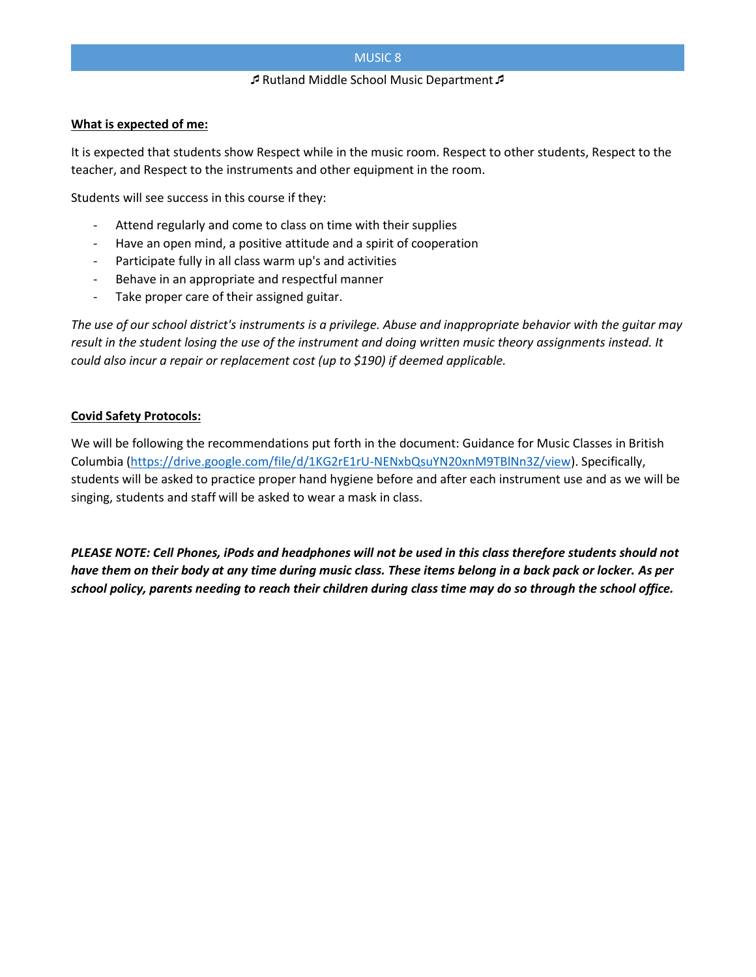## MUSIC 8

#### Rutland Middle School Music Department

### **What is expected of me:**

It is expected that students show Respect while in the music room. Respect to other students, Respect to the teacher, and Respect to the instruments and other equipment in the room.

Students will see success in this course if they:

- Attend regularly and come to class on time with their supplies
- Have an open mind, a positive attitude and a spirit of cooperation
- Participate fully in all class warm up's and activities
- Behave in an appropriate and respectful manner
- Take proper care of their assigned guitar.

*The use of our school district's instruments is a privilege. Abuse and inappropriate behavior with the guitar may result in the student losing the use of the instrument and doing written music theory assignments instead. It could also incur a repair or replacement cost (up to \$190) if deemed applicable.*

## **Covid Safety Protocols:**

We will be following the recommendations put forth in the document: Guidance for Music Classes in British Columbia [\(https://drive.google.com/file/d/1KG2rE1rU-NENxbQsuYN20xnM9TBlNn3Z/view\)](https://drive.google.com/file/d/1KG2rE1rU-NENxbQsuYN20xnM9TBlNn3Z/view). Specifically, students will be asked to practice proper hand hygiene before and after each instrument use and as we will be singing, students and staff will be asked to wear a mask in class.

*PLEASE NOTE: Cell Phones, iPods and headphones will not be used in this class therefore students should not have them on their body at any time during music class. These items belong in a back pack or locker. As per school policy, parents needing to reach their children during class time may do so through the school office.*